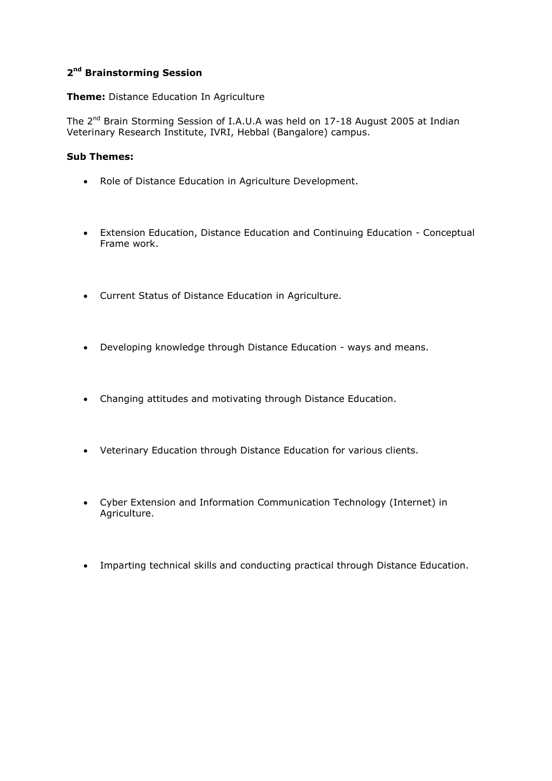## **2 nd Brainstorming Session**

**Theme:** Distance Education In Agriculture

The 2<sup>nd</sup> Brain Storming Session of I.A.U.A was held on 17-18 August 2005 at Indian Veterinary Research Institute, IVRI, Hebbal (Bangalore) campus.

## **Sub Themes:**

- Role of Distance Education in Agriculture Development.
- Extension Education, Distance Education and Continuing Education Conceptual Frame work.
- Current Status of Distance Education in Agriculture.
- Developing knowledge through Distance Education ways and means.
- Changing attitudes and motivating through Distance Education.
- Veterinary Education through Distance Education for various clients.
- Cyber Extension and Information Communication Technology (Internet) in Agriculture.
- Imparting technical skills and conducting practical through Distance Education.